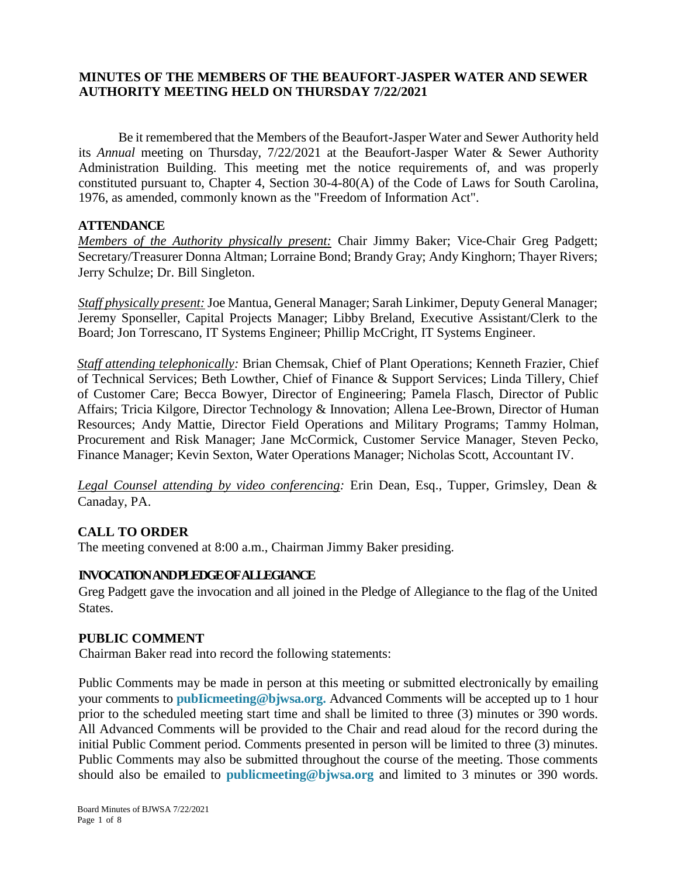# **MINUTES OF THE MEMBERS OF THE BEAUFORT-JASPER WATER AND SEWER AUTHORITY MEETING HELD ON THURSDAY 7/22/2021**

Be it remembered that the Members of the Beaufort-Jasper Water and Sewer Authority held its *Annual* meeting on Thursday, 7/22/2021 at the Beaufort-Jasper Water & Sewer Authority Administration Building. This meeting met the notice requirements of, and was properly constituted pursuant to, Chapter 4, Section 30-4-80(A) of the Code of Laws for South Carolina, 1976, as amended, commonly known as the "Freedom of Information Act".

### **ATTENDANCE**

*Members of the Authority physically present:* Chair Jimmy Baker; Vice-Chair Greg Padgett; Secretary/Treasurer Donna Altman; Lorraine Bond; Brandy Gray; Andy Kinghorn; Thayer Rivers; Jerry Schulze; Dr. Bill Singleton.

*Staff physically present:* Joe Mantua, General Manager; Sarah Linkimer, Deputy General Manager; Jeremy Sponseller, Capital Projects Manager; Libby Breland, Executive Assistant/Clerk to the Board; Jon Torrescano, IT Systems Engineer; Phillip McCright, IT Systems Engineer.

*Staff attending telephonically:* Brian Chemsak, Chief of Plant Operations; Kenneth Frazier, Chief of Technical Services; Beth Lowther, Chief of Finance & Support Services; Linda Tillery, Chief of Customer Care; Becca Bowyer, Director of Engineering; Pamela Flasch, Director of Public Affairs; Tricia Kilgore, Director Technology & Innovation; Allena Lee-Brown, Director of Human Resources; Andy Mattie, Director Field Operations and Military Programs; Tammy Holman, Procurement and Risk Manager; Jane McCormick, Customer Service Manager, Steven Pecko, Finance Manager; Kevin Sexton, Water Operations Manager; Nicholas Scott, Accountant IV.

*Legal Counsel attending by video conferencing:* Erin Dean, Esq., Tupper, Grimsley, Dean & Canaday, PA.

# **CALL TO ORDER**

The meeting convened at 8:00 a.m., Chairman Jimmy Baker presiding.

# **INVOCATION AND PLEDGE OF ALLEGIANCE**

Greg Padgett gave the invocation and all joined in the Pledge of Allegiance to the flag of the United States.

### **PUBLIC COMMENT**

Chairman Baker read into record the following statements:

Public Comments may be made in person at this meeting or submitted electronically by emailing your comments to **pubIicmeeting@bjwsa.org.** Advanced Comments will be accepted up to 1 hour prior to the scheduled meeting start time and shall be limited to three (3) minutes or 390 words. All Advanced Comments will be provided to the Chair and read aloud for the record during the initial Public Comment period. Comments presented in person will be limited to three (3) minutes. Public Comments may also be submitted throughout the course of the meeting. Those comments should also be emailed to **publicmeeting@bjwsa.org** and limited to 3 minutes or 390 words.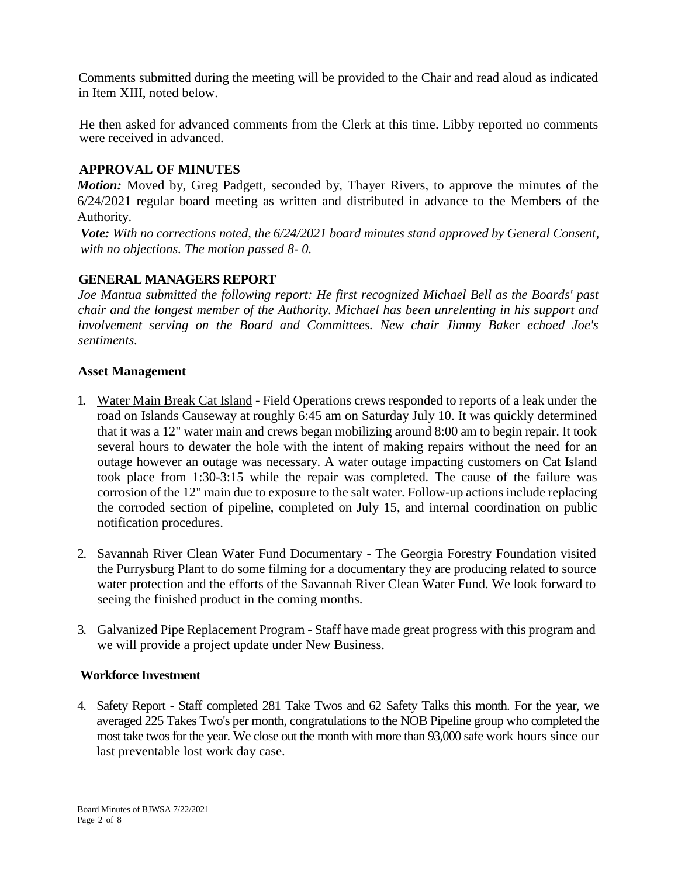Comments submitted during the meeting will be provided to the Chair and read aloud as indicated in Item XIII, noted below.

He then asked for advanced comments from the Clerk at this time. Libby reported no comments were received in advanced.

# **APPROVAL OF MINUTES**

*Motion:* Moved by, Greg Padgett, seconded by, Thayer Rivers, to approve the minutes of the 6/24/2021 regular board meeting as written and distributed in advance to the Members of the Authority.

*Vote: With no corrections noted, the 6/24/2021 board minutes stand approved by General Consent, with no objections. The motion passed 8- 0.*

# **GENERAL MANAGERS REPORT**

*Joe Mantua submitted the following report: He first recognized Michael Bell as the Boards' past chair and the longest member of the Authority. Michael has been unrelenting in his support and involvement serving on the Board and Committees. New chair Jimmy Baker echoed Joe's sentiments.*

### **Asset Management**

- 1. Water Main Break Cat Island Field Operations crews responded to reports of a leak under the road on Islands Causeway at roughly 6:45 am on Saturday July 10. It was quickly determined that it was a 12" water main and crews began mobilizing around 8:00 am to begin repair. It took several hours to dewater the hole with the intent of making repairs without the need for an outage however an outage was necessary. A water outage impacting customers on Cat Island took place from 1:30-3:15 while the repair was completed. The cause of the failure was corrosion of the 12" main due to exposure to the salt water. Follow-up actions include replacing the corroded section of pipeline, completed on July 15, and internal coordination on public notification procedures.
- 2. Savannah River Clean Water Fund Documentary The Georgia Forestry Foundation visited the Purrysburg Plant to do some filming for a documentary they are producing related to source water protection and the efforts of the Savannah River Clean Water Fund. We look forward to seeing the finished product in the coming months.
- 3. Galvanized Pipe Replacement Program Staff have made great progress with this program and we will provide a project update under New Business.

# **Workforce Investment**

4. Safety Report - Staff completed 281 Take Twos and 62 Safety Talks this month. For the year, we averaged 225 Takes Two's per month, congratulations to the NOB Pipeline group who completed the most take twos for the year. We close out the month with more than 93,000 safe work hours since our last preventable lost work day case.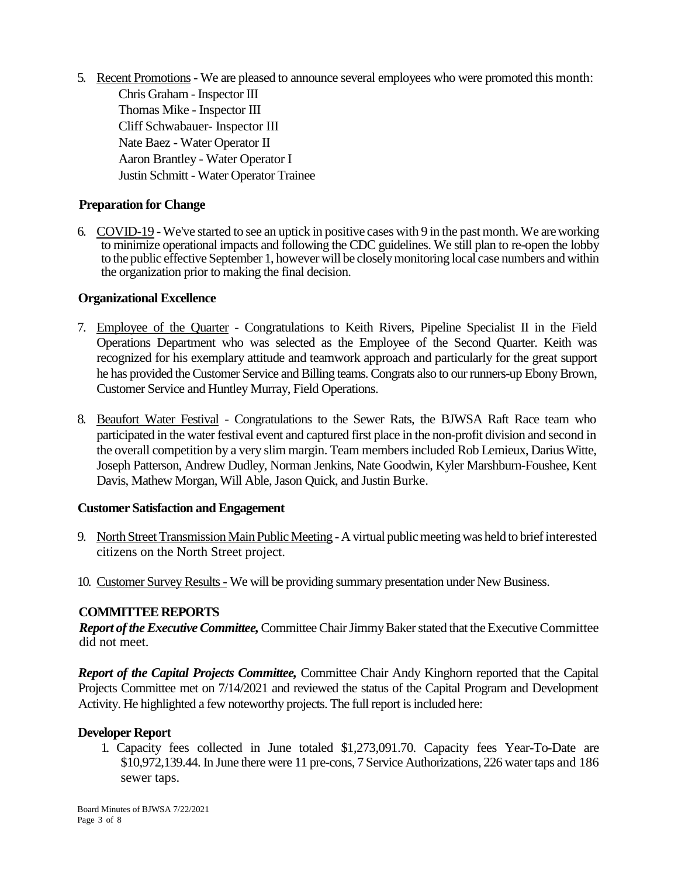5. Recent Promotions- We are pleased to announce several employees who were promoted this month: Chris Graham - Inspector III Thomas Mike - Inspector III Cliff Schwabauer- Inspector III Nate Baez - Water Operator II Aaron Brantley - Water Operator I Justin Schmitt - Water Operator Trainee

# **Preparation for Change**

6. COVID-19 -We've started to see an uptick in positive cases with 9 in the past month. We are working to minimize operational impacts and following the CDC guidelines. We still plan to re-open the lobby to the public effective September 1, however will be closely monitoring local case numbers and within the organization prior to making the final decision.

#### **Organizational Excellence**

- 7. Employee of the Quarter Congratulations to Keith Rivers, Pipeline Specialist II in the Field Operations Department who was selected as the Employee of the Second Quarter. Keith was recognized for his exemplary attitude and teamwork approach and particularly for the great support he has provided the Customer Service and Billing teams. Congrats also to our runners-up Ebony Brown, Customer Service and Huntley Murray, Field Operations.
- 8. Beaufort Water Festival Congratulations to the Sewer Rats, the BJWSA Raft Race team who participated in the water festival event and captured first place in the non-profit division and second in the overall competition by a very slim margin. Team members included Rob Lemieux, Darius Witte, Joseph Patterson, Andrew Dudley, Norman Jenkins, Nate Goodwin, Kyler Marshburn-Foushee, Kent Davis, Mathew Morgan, Will Able, Jason Quick, and Justin Burke.

### **Customer Satisfaction and Engagement**

- 9. North Street Transmission Main Public Meeting A virtual public meeting was held to brief interested citizens on the North Street project.
- 10. Customer Survey Results We will be providing summary presentation under New Business.

### **COMMITTEE REPORTS**

*Report of the Executive Committee,* Committee Chair Jimmy Baker stated that the Executive Committee did not meet.

*Report of the Capital Projects Committee,* Committee Chair Andy Kinghorn reported that the Capital Projects Committee met on 7/14/2021 and reviewed the status of the Capital Program and Development Activity. He highlighted a few noteworthy projects. The full report is included here:

#### **Developer Report**

1. Capacity fees collected in June totaled \$1,273,091.70. Capacity fees Year-To-Date are \$10,972,139.44. In June there were 11 pre-cons, 7 Service Authorizations, 226 water taps and 186 sewer taps.

Board Minutes of BJWSA 7/22/2021 Page 3 of 8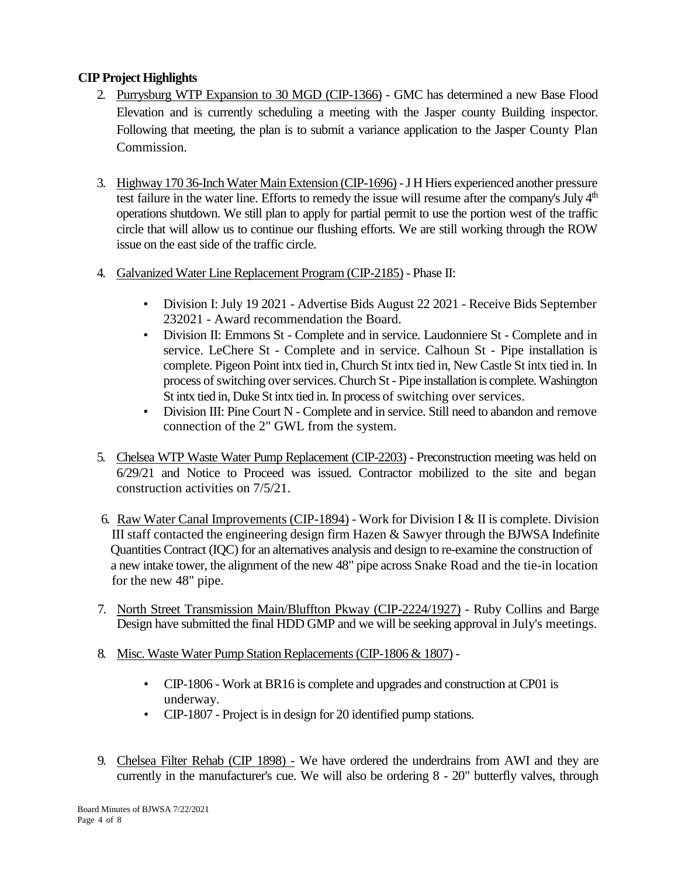# **CIP Project Highlights**

- 2. Purrysburg WTP Expansion to 30 MGD (CIP-1366) GMC has determined a new Base Flood Elevation and is currently scheduling a meeting with the Jasper county Building inspector. Following that meeting, the plan is to submit a variance application to the Jasper County Plan Commission.
- 3. Highway 170 36-Inch Water Main Extension (CIP-1696) -J H Hiers experienced another pressure test failure in the water line. Efforts to remedy the issue will resume after the company's July 4<sup>th</sup> operations shutdown. We still plan to apply for partial permit to use the portion west of the traffic circle that will allow us to continue our flushing efforts. We are still working through the ROW issue on the east side of the traffic circle.
- 4. Galvanized Water Line Replacement Program (CIP-2185) Phase II:
	- Division I: July 19 2021 Advertise Bids August 22 2021 Receive Bids September 232021 - Award recommendation the Board.
	- Division II: Emmons St Complete and in service. Laudonniere St Complete and in service. LeChere St - Complete and in service. Calhoun St - Pipe installation is complete. Pigeon Point intx tied in, Church St intx tied in, New Castle St intx tied in. In process of switching over services. Church St - Pipe installation is complete. Washington St intx tied in, Duke St intx tied in. In process of switching over services.
	- Division III: Pine Court N Complete and in service. Still need to abandon and remove connection of the 2" GWL from the system.
- 5. Chelsea WTP Waste Water Pump Replacement (CIP-2203) Preconstruction meeting was held on 6/29/21 and Notice to Proceed was issued. Contractor mobilized to the site and began construction activities on 7/5/21.
- 6. Raw Water Canal Improvements (CIP-1894) Work for Division I & II is complete. Division III staff contacted the engineering design firm Hazen & Sawyer through the BJWSA Indefinite Quantities Contract (IQC) for an alternatives analysis and design to re-examine the construction of a new intake tower, the alignment of the new 48" pipe across Snake Road and the tie-in location for the new 48" pipe.
- 7. North Street Transmission Main/Bluffton Pkway (CIP-2224/1927) Ruby Collins and Barge Design have submitted the final HDD GMP and we will be seeking approval in July's meetings.
- 8. Misc. Waste Water Pump Station Replacements (CIP-1806 & 1807)
	- CIP-1806 Work at BR16 is complete and upgrades and construction at CP01 is underway.
	- CIP-1807 Project is in design for 20 identified pump stations.
- 9. Chelsea Filter Rehab (CIP 1898) We have ordered the underdrains from AWI and they are currently in the manufacturer's cue. We will also be ordering 8 - 20" butterfly valves, through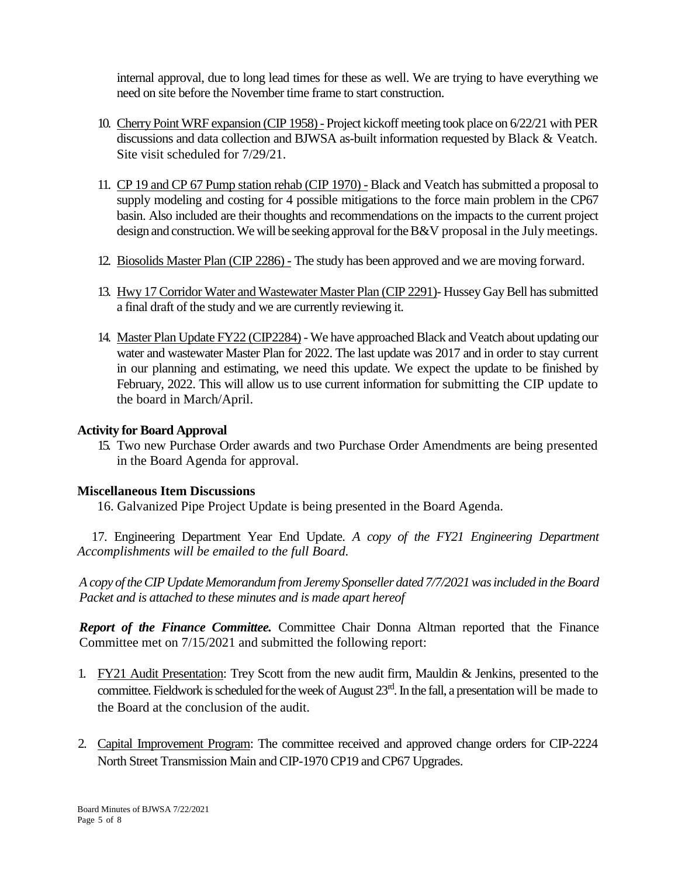internal approval, due to long lead times for these as well. We are trying to have everything we need on site before the November time frame to start construction.

- 10. Cherry Point WRF expansion (CIP 1958) Project kickoff meeting took place on 6/22/21 with PER discussions and data collection and BJWSA as-built information requested by Black & Veatch. Site visit scheduled for 7/29/21.
- 11. CP 19 and CP 67 Pump station rehab (CIP 1970) Black and Veatch has submitted a proposal to supply modeling and costing for 4 possible mitigations to the force main problem in the CP67 basin. Also included are their thoughts and recommendations on the impacts to the current project design and construction. We will be seeking approval for the  $B&V$  proposal in the July meetings.
- 12. Biosolids Master Plan (CIP 2286) The study has been approved and we are moving forward.
- 13. Hwy 17 Corridor Water and Wastewater Master Plan (CIP 2291)- Hussey Gay Bell has submitted a final draft of the study and we are currently reviewing it.
- 14. Master Plan Update FY22 (CIP2284) We have approached Black and Veatch about updating our water and wastewater Master Plan for 2022. The last update was 2017 and in order to stay current in our planning and estimating, we need this update. We expect the update to be finished by February, 2022. This will allow us to use current information for submitting the CIP update to the board in March/April.

### **Activity for Board Approval**

15. Two new Purchase Order awards and two Purchase Order Amendments are being presented in the Board Agenda for approval.

### **Miscellaneous Item Discussions**

16. Galvanized Pipe Project Update is being presented in the Board Agenda.

 17. Engineering Department Year End Update. *A copy of the FY21 Engineering Department Accomplishments will be emailed to the full Board.*

*A copy of the CIP Update Memorandum from Jeremy Sponseller dated 7/7/2021 was included in the Board Packet and is attached to these minutes and is made apart hereof*

*Report of the Finance Committee.* Committee Chair Donna Altman reported that the Finance Committee met on 7/15/2021 and submitted the following report:

- 1. FY21 Audit Presentation: Trey Scott from the new audit firm, Mauldin & Jenkins, presented to the committee. Fieldwork is scheduled for the week of August  $23<sup>rd</sup>$ . In the fall, a presentation will be made to the Board at the conclusion of the audit.
- 2. Capital Improvement Program: The committee received and approved change orders for CIP-2224 North Street Transmission Main and CIP-1970 CP19 and CP67 Upgrades.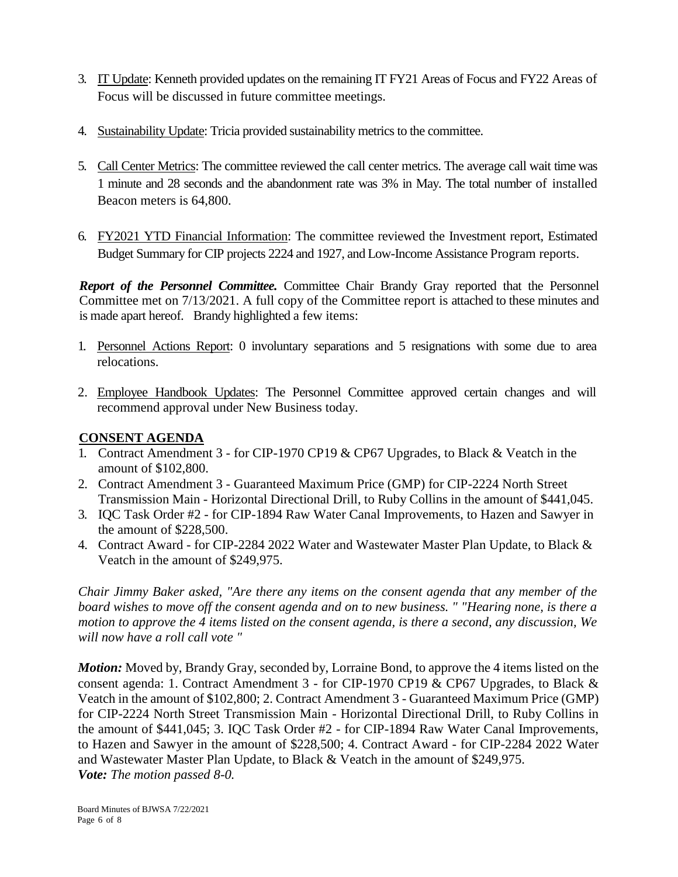- 3. IT Update: Kenneth provided updates on the remaining IT FY21 Areas of Focus and FY22 Areas of Focus will be discussed in future committee meetings.
- 4. Sustainability Update: Tricia provided sustainability metrics to the committee.
- 5. Call Center Metrics: The committee reviewed the call center metrics. The average call wait time was 1 minute and 28 seconds and the abandonment rate was 3% in May. The total number of installed Beacon meters is 64,800.
- 6. FY2021 YTD Financial Information: The committee reviewed the Investment report, Estimated Budget Summary for CIP projects 2224 and 1927, and Low-Income Assistance Program reports.

*Report of the Personnel Committee.* Committee Chair Brandy Gray reported that the Personnel Committee met on 7/13/2021. A full copy of the Committee report is attached to these minutes and is made apart hereof. Brandy highlighted a few items:

- 1. Personnel Actions Report: 0 involuntary separations and 5 resignations with some due to area relocations.
- 2. Employee Handbook Updates: The Personnel Committee approved certain changes and will recommend approval under New Business today.

# **CONSENT AGENDA**

- 1. Contract Amendment 3 for CIP-1970 CP19 & CP67 Upgrades, to Black & Veatch in the amount of \$102,800.
- 2. Contract Amendment 3 Guaranteed Maximum Price (GMP) for CIP-2224 North Street Transmission Main - Horizontal Directional Drill, to Ruby Collins in the amount of \$441,045.
- 3. IQC Task Order #2 for CIP-1894 Raw Water Canal Improvements, to Hazen and Sawyer in the amount of \$228,500.
- 4. Contract Award for CIP-2284 2022 Water and Wastewater Master Plan Update, to Black & Veatch in the amount of \$249,975.

*Chair Jimmy Baker asked, "Are there any items on the consent agenda that any member of the board wishes to move off the consent agenda and on to new business. " "Hearing none, is there a motion to approve the 4 items listed on the consent agenda, is there a second, any discussion, We will now have a roll call vote "*

*Motion:* Moved by, Brandy Gray, seconded by, Lorraine Bond, to approve the 4 items listed on the consent agenda: 1. Contract Amendment 3 - for CIP-1970 CP19 & CP67 Upgrades, to Black & Veatch in the amount of \$102,800; 2. Contract Amendment 3 - Guaranteed Maximum Price (GMP) for CIP-2224 North Street Transmission Main - Horizontal Directional Drill, to Ruby Collins in the amount of \$441,045; 3. IQC Task Order #2 - for CIP-1894 Raw Water Canal Improvements, to Hazen and Sawyer in the amount of \$228,500; 4. Contract Award - for CIP-2284 2022 Water and Wastewater Master Plan Update, to Black & Veatch in the amount of \$249,975. *Vote: The motion passed 8-0.*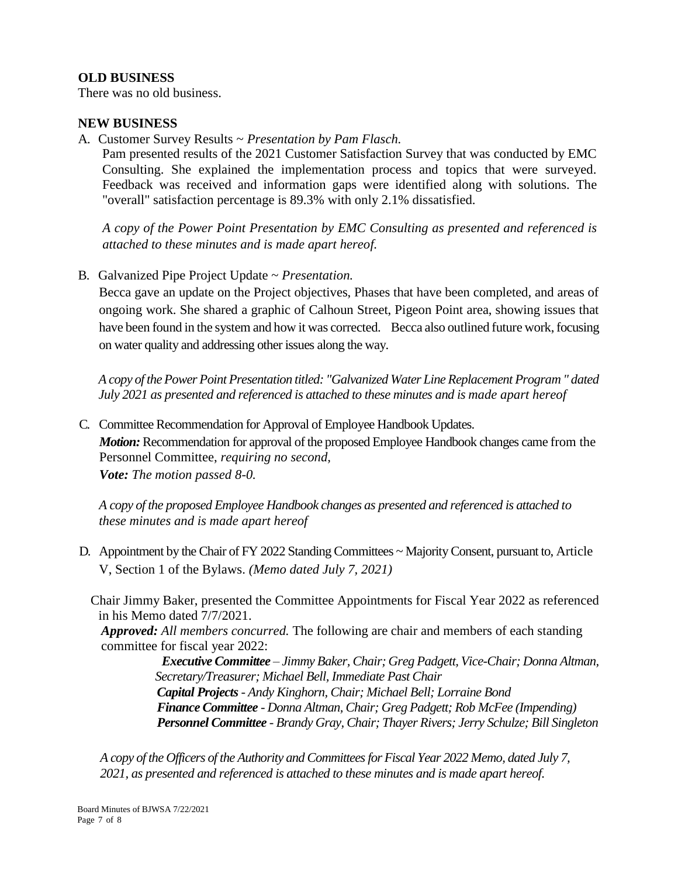## **OLD BUSINESS**

There was no old business.

### **NEW BUSINESS**

A. Customer Survey Results ~ *Presentation by Pam Flasch.*

Pam presented results of the 2021 Customer Satisfaction Survey that was conducted by EMC Consulting. She explained the implementation process and topics that were surveyed. Feedback was received and information gaps were identified along with solutions. The "overall" satisfaction percentage is 89.3% with only 2.1% dissatisfied.

*A copy of the Power Point Presentation by EMC Consulting as presented and referenced is attached to these minutes and is made apart hereof.*

B. Galvanized Pipe Project Update ~ *Presentation.*

Becca gave an update on the Project objectives, Phases that have been completed, and areas of ongoing work. She shared a graphic of Calhoun Street, Pigeon Point area, showing issues that have been found in the system and how it was corrected. Becca also outlined future work, focusing on water quality and addressing other issues along the way.

*A copy of the Power Point Presentation titled: "Galvanized Water Line Replacement Program " dated July 2021 as presented and referenced is attached to these minutes and is made apart hereof*

C. Committee Recommendation for Approval of Employee Handbook Updates. *Motion:* Recommendation for approval of the proposed Employee Handbook changes came from the Personnel Committee, *requiring no second, Vote: The motion passed 8-0.*

*A copy of the proposed Employee Handbook changes as presented and referenced is attached to these minutes and is made apart hereof*

D. Appointment by the Chair of FY 2022 Standing Committees ~ Majority Consent, pursuant to, Article V, Section 1 of the Bylaws. *(Memo dated July 7, 2021)*

 Chair Jimmy Baker, presented the Committee Appointments for Fiscal Year 2022 as referenced in his Memo dated 7/7/2021.

*Approved: All members concurred.* The following are chair and members of each standing committee for fiscal year 2022:

> *Executive Committee – Jimmy Baker, Chair; Greg Padgett, Vice-Chair; Donna Altman, Secretary/Treasurer; Michael Bell, Immediate Past Chair Capital Projects- Andy Kinghorn, Chair; Michael Bell; Lorraine Bond Finance Committee - Donna Altman, Chair; Greg Padgett; Rob McFee (Impending) Personnel Committee - Brandy Gray, Chair; Thayer Rivers; Jerry Schulze; Bill Singleton*

*A copy of the Officers of the Authority and Committees for Fiscal Year 2022 Memo, dated July 7, 2021, as presented and referenced is attached to these minutes and is made apart hereof.*